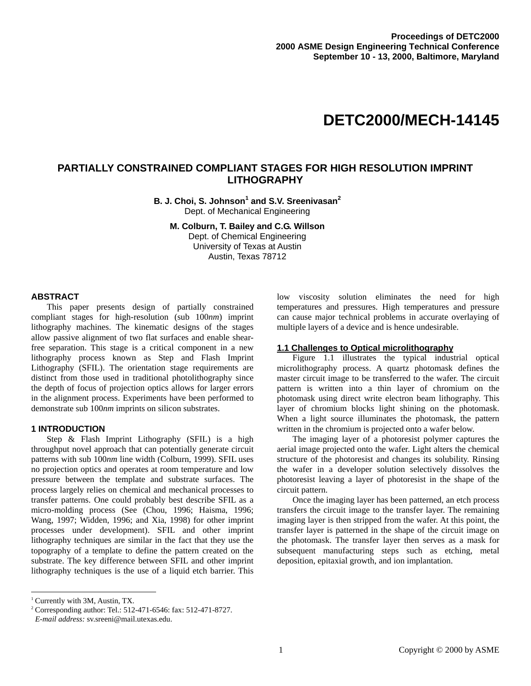# **DETC2000/MECH-14145**

## **PARTIALLY CONSTRAINED COMPLIANT STAGES FOR HIGH RESOLUTION IMPRINT LITHOGRAPHY**

**B. J. Choi, S. Johnson<sup>1</sup> and S.V. Sreenivasan<sup>2</sup>** Dept. of Mechanical Engineering

**M. Colburn, T. Bailey and C.G. Willson**  Dept. of Chemical Engineering University of Texas at Austin Austin, Texas 78712

#### **ABSTRACT**

This paper presents design of partially constrained compliant stages for high-resolution (sub 100*nm*) imprint lithography machines. The kinematic designs of the stages allow passive alignment of two flat surfaces and enable shearfree separation. This stage is a critical component in a new lithography process known as Step and Flash Imprint Lithography (SFIL). The orientation stage requirements are distinct from those used in traditional photolithography since the depth of focus of projection optics allows for larger errors in the alignment process. Experiments have been performed to demonstrate sub 100*nm* imprints on silicon substrates.

## **1 INTRODUCTION**

Step & Flash Imprint Lithography (SFIL) is a high throughput novel approach that can potentially generate circuit patterns with sub 100*nm* line width (Colburn, 1999). SFIL uses no projection optics and operates at room temperature and low pressure between the template and substrate surfaces. The process largely relies on chemical and mechanical processes to transfer patterns. One could probably best describe SFIL as a micro-molding process (See (Chou, 1996; Haisma, 1996; Wang, 1997; Widden, 1996; and Xia, 1998) for other imprint processes under development). SFIL and other imprint lithography techniques are similar in the fact that they use the topography of a template to define the pattern created on the substrate. The key difference between SFIL and other imprint lithography techniques is the use of a liquid etch barrier. This low viscosity solution eliminates the need for high temperatures and pressures. High temperatures and pressure can cause major technical problems in accurate overlaying of multiple layers of a device and is hence undesirable.

#### **1.1 Challenges to Optical microlithography**

Figure 1.1 illustrates the typical industrial optical microlithography process. A quartz photomask defines the master circuit image to be transferred to the wafer. The circuit pattern is written into a thin layer of chromium on the photomask using direct write electron beam lithography. This layer of chromium blocks light shining on the photomask. When a light source illuminates the photomask, the pattern written in the chromium is projected onto a wafer below.

The imaging layer of a photoresist polymer captures the aerial image projected onto the wafer. Light alters the chemical structure of the photoresist and changes its solubility. Rinsing the wafer in a developer solution selectively dissolves the photoresist leaving a layer of photoresist in the shape of the circuit pattern.

Once the imaging layer has been patterned, an etch process transfers the circuit image to the transfer layer. The remaining imaging layer is then stripped from the wafer. At this point, the transfer layer is patterned in the shape of the circuit image on the photomask. The transfer layer then serves as a mask for subsequent manufacturing steps such as etching, metal deposition, epitaxial growth, and ion implantation.

-

<sup>&</sup>lt;sup>1</sup> Currently with 3M, Austin, TX.

<sup>2</sup> Corresponding author: Tel.: 512-471-6546: fax: 512-471-8727.

*E-mail address:* sv.sreeni@mail.utexas.edu.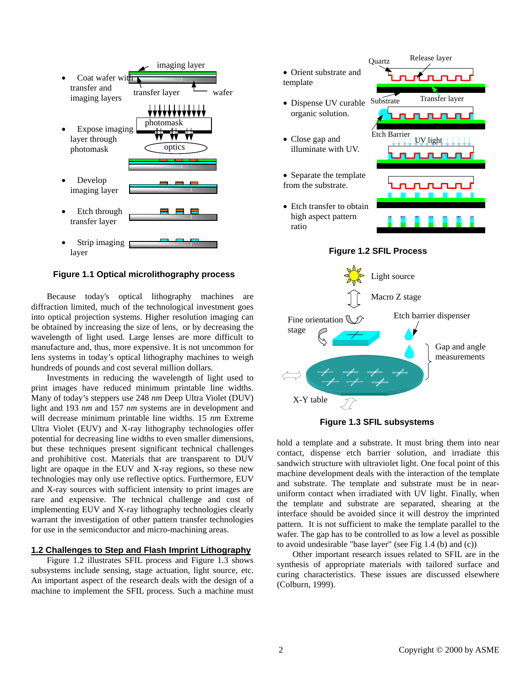

**Figure 1.1 Optical microlithography process** 

Because today's optical lithography machines are diffraction limited, much of the technological investment goes into optical projection systems. Higher resolution imaging can be obtained by increasing the size of lens, or by decreasing the wavelength of light used. Large lenses are more difficult to manufacture and, thus, more expensive. It is not uncommon for lens systems in today's optical lithography machines to weigh hundreds of pounds and cost several million dollars.

Investments in reducing the wavelength of light used to print images have reduced minimum printable line widths. Many of today's steppers use 248 *nm* Deep Ultra Violet (DUV) light and 193 *nm* and 157 *nm* systems are in development and will decrease minimum printable line widths. 15 *nm* Extreme Ultra Violet (EUV) and X-ray lithography technologies offer potential for decreasing line widths to even smaller dimensions, but these techniques present significant technical challenges and prohibitive cost. Materials that are transparent to DUV light are opaque in the EUV and X-ray regions, so these new technologies may only use reflective optics. Furthermore, EUV and X-ray sources with sufficient intensity to print images are rare and expensive. The technical challenge and cost of implementing EUV and X-ray lithography technologies clearly warrant the investigation of other pattern transfer technologies for use in the semiconductor and micro-machining areas.

## **1.2 Challenges to Step and Flash Imprint Lithography**

Figure 1.2 illustrates SFIL process and Figure 1.3 shows subsystems include sensing, stage actuation, light source, etc. An important aspect of the research deals with the design of a machine to implement the SFIL process. Such a machine must







**Figure 1.3 SFIL subsystems** 

hold a template and a substrate. It must bring them into near contact, dispense etch barrier solution, and irradiate this sandwich structure with ultraviolet light. One focal point of this machine development deals with the interaction of the template and substrate. The template and substrate must be in nearuniform contact when irradiated with UV light. Finally, when the template and substrate are separated, shearing at the interface should be avoided since it will destroy the imprinted pattern. It is not sufficient to make the template parallel to the wafer. The gap has to be controlled to as low a level as possible to avoid undesirable "base layer" (see Fig 1.4 (b) and (c))

Other important research issues related to SFIL are in the synthesis of appropriate materials with tailored surface and curing characteristics. These issues are discussed elsewhere (Colburn, 1999).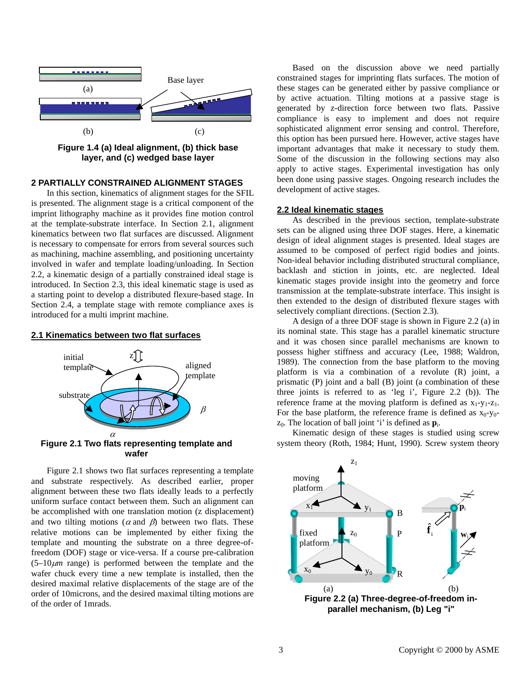

**Figure 1.4 (a) Ideal alignment, (b) thick base layer, and (c) wedged base layer** 

## **2 PARTIALLY CONSTRAINED ALIGNMENT STAGES**

In this section, kinematics of alignment stages for the SFIL is presented. The alignment stage is a critical component of the imprint lithography machine as it provides fine motion control at the template-substrate interface. In Section 2.1, alignment kinematics between two flat surfaces are discussed. Alignment is necessary to compensate for errors from several sources such as machining, machine assembling, and positioning uncertainty involved in wafer and template loading/unloading. In Section 2.2, a kinematic design of a partially constrained ideal stage is introduced. In Section 2.3, this ideal kinematic stage is used as a starting point to develop a distributed flexure-based stage. In Section 2.4, a template stage with remote compliance axes is introduced for a multi imprint machine.

#### **2.1 Kinematics between two flat surfaces**



Figure 2.1 shows two flat surfaces representing a template and substrate respectively. As described earlier, proper alignment between these two flats ideally leads to a perfectly uniform surface contact between them. Such an alignment can be accomplished with one translation motion (z displacement) and two tilting motions ( $\alpha$  and  $\beta$ ) between two flats. These relative motions can be implemented by either fixing the template and mounting the substrate on a three degree-offreedom (DOF) stage or vice-versa. If a course pre-calibration  $(5-10 \mu m \text{ range})$  is performed between the template and the wafer chuck every time a new template is installed, then the desired maximal relative displacements of the stage are of the order of 10microns, and the desired maximal tilting motions are of the order of 1mrads.

Based on the discussion above we need partially constrained stages for imprinting flats surfaces. The motion of these stages can be generated either by passive compliance or by active actuation. Tilting motions at a passive stage is generated by z-direction force between two flats. Passive compliance is easy to implement and does not require sophisticated alignment error sensing and control. Therefore, this option has been pursued here. However, active stages have important advantages that make it necessary to study them. Some of the discussion in the following sections may also apply to active stages. Experimental investigation has only been done using passive stages. Ongoing research includes the development of active stages.

### **2.2 Ideal kinematic stages**

As described in the previous section, template-substrate sets can be aligned using three DOF stages. Here, a kinematic design of ideal alignment stages is presented. Ideal stages are assumed to be composed of perfect rigid bodies and joints. Non-ideal behavior including distributed structural compliance, backlash and stiction in joints, etc. are neglected. Ideal kinematic stages provide insight into the geometry and force transmission at the template-substrate interface. This insight is then extended to the design of distributed flexure stages with selectively compliant directions. (Section 2.3).

A design of a three DOF stage is shown in Figure 2.2 (a) in its nominal state. This stage has a parallel kinematic structure and it was chosen since parallel mechanisms are known to possess higher stiffness and accuracy (Lee, 1988; Waldron, 1989). The connection from the base platform to the moving platform is via a combination of a revolute (R) joint, a prismatic (P) joint and a ball (B) joint (a combination of these three joints is referred to as 'leg i', Figure 2.2 (b)). The reference frame at the moving platform is defined as  $x_1-y_1-z_1$ . For the base platform, the reference frame is defined as  $x_0-y_0$  $z_0$ . The location of ball joint 'i' is defined as  $p_i$ .

Kinematic design of these stages is studied using screw system theory (Roth, 1984; Hunt, 1990). Screw system theory

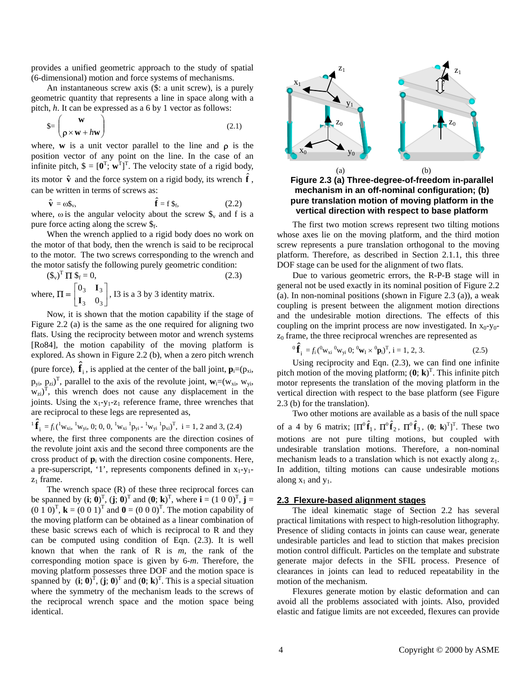provides a unified geometric approach to the study of spatial (6-dimensional) motion and force systems of mechanisms.

An instantaneous screw axis (\$: a unit screw), is a purely geometric quantity that represents a line in space along with a pitch, *h*. It can be expressed as a 6 by 1 vector as follows:

$$
\mathbf{S} = \begin{pmatrix} \mathbf{w} \\ \mathbf{p} \times \mathbf{w} + h\mathbf{w} \end{pmatrix} \tag{2.1}
$$

where, **w** is a unit vector parallel to the line and  $\rho$  is the position vector of any point on the line. In the case of an infinite pitch,  $\mathbf{\hat{s}} = [\mathbf{0}^T; \mathbf{w}^T]^T$ . The velocity state of a rigid body,

its motor  $\hat{\mathbf{v}}$  and the force system on a rigid body, its wrench  $\hat{\mathbf{f}}$ , can be written in terms of screws as:

 $\hat{\mathbf{v}} = \omega \mathbf{\mathbb{S}}_{v}$ ,  $\hat{\mathbf{f}} = f \, \mathbf{\$}_{f},$  (2.2) where,  $\omega$  is the angular velocity about the screw  $\mathcal{S}_v$  and f is a

pure force acting along the screw  $\mathcal{S}_f$ . When the wrench applied to a rigid body does no work on the motor of that body, then the wrench is said to be reciprocal

to the motor. The two screws corresponding to the wrench and the motor satisfy the following purely geometric condition:

$$
(\mathbf{\$}_{\mathbf{v}})^{\mathrm{T}} \, \Pi \, \mathbf{\$}_{\mathrm{f}} = 0,
$$
\nwhere, 
$$
\Pi = \begin{bmatrix} 0_3 & \mathbf{I}_3 \\ \mathbf{I}_3 & 0_3 \end{bmatrix}
$$
, 13 is a 3 by 3 identity matrix.

Now, it is shown that the motion capability if the stage of Figure 2.2 (a) is the same as the one required for aligning two flats. Using the reciprocity between motor and wrench systems [Ro84], the motion capability of the moving platform is explored. As shown in Figure 2.2 (b), when a zero pitch wrench (pure force),  $\hat{\mathbf{f}}_i$ , is applied at the center of the ball joint,  $\mathbf{p}_i=(p_{xi},$  $p_{yi}$ ,  $p_{zi}$ )<sup>T</sup>, parallel to the axis of the revolute joint,  $w_i=(w_{xi}, w_{yi},$  $w_{zi}$ <sup>T</sup>, this wrench does not cause any displacement in the joints. Using the  $x_1-y_1-z_1$  reference frame, three wrenches that are reciprocal to these legs are represented as,

$$
{}^{1}\hat{\mathbf{f}}_{i} = f_{i} ({}^{1}w_{xi}, {}^{1}w_{yi}, 0; 0, 0, {}^{1}w_{xi} {}^{1}p_{yi} - {}^{1}w_{yi} {}^{1}p_{xi})^{T}, i = 1, 2 \text{ and } 3, (2.4)
$$

where, the first three components are the direction cosines of the revolute joint axis and the second three components are the cross product of  $\mathbf{p}_i$  with the direction cosine components. Here, a pre-superscript, '1', represents components defined in  $x_1-y_1$  $z_1$  frame.

The wrench space  $(R)$  of these three reciprocal forces can be spanned by  $(i; 0)^T$ ,  $(j; 0)^T$  and  $(0; \mathbf{k})^T$ , where  $\mathbf{i} = (1 \ 0 \ 0)^T$ ,  $\mathbf{j} =$  $(0\ 1\ 0)^T$ ,  $\mathbf{k} = (0\ 0\ 1)^T$  and  $\mathbf{0} = (0\ 0\ 0)^T$ . The motion capability of the moving platform can be obtained as a linear combination of these basic screws each of which is reciprocal to R and they can be computed using condition of Eqn. (2.3). It is well known that when the rank of R is *m*, the rank of the corresponding motion space is given by 6-*m*. Therefore, the moving platform possesses three DOF and the motion space is spanned by  $(i; 0)^T$ ,  $(j; 0)^T$  and  $(0; k)^T$ . This is a special situation where the symmetry of the mechanism leads to the screws of the reciprocal wrench space and the motion space being identical.



**Figure 2.3 (a) Three-degree-of-freedom in-parallel mechanism in an off-nominal configuration; (b) pure translation motion of moving platform in the vertical direction with respect to base platform** 

The first two motion screws represent two tilting motions whose axes lie on the moving platform, and the third motion screw represents a pure translation orthogonal to the moving platform. Therefore, as described in Section 2.1.1, this three DOF stage can be used for the alignment of two flats.

Due to various geometric errors, the R-P-B stage will in general not be used exactly in its nominal position of Figure 2.2 (a). In non-nominal positions (shown in Figure 2.3 (a)), a weak coupling is present between the alignment motion directions and the undesirable motion directions. The effects of this coupling on the imprint process are now investigated. In  $x_0-y_0$  $z<sub>0</sub>$  frame, the three reciprocal wrenches are represented as

$$
{}^{0}\hat{\mathbf{f}}_{i} = f_{i} ({}^{0}w_{xi} {}^{0}w_{yi} {}^{0}; {}^{0}w_{I} \times {}^{0}\mathbf{p}_{i})^{\mathrm{T}}, i = 1, 2, 3.
$$
 (2.5)

Using reciprocity and Eqn. (2.3), we can find one infinite pitch motion of the moving platform;  $(\mathbf{0}; \mathbf{k})^T$ . This infinite pitch motor represents the translation of the moving platform in the vertical direction with respect to the base platform (see Figure 2.3 (b) for the translation).

Two other motions are available as a basis of the null space of a 4 by 6 matrix;  $[\Pi^0 \hat{f}_1, \Pi^0 \hat{f}_2, \Pi^0 \hat{f}_3, (0; \mathbf{k})^T]^T$ . These two motions are not pure tilting motions, but coupled with undesirable translation motions. Therefore, a non-nominal mechanism leads to a translation which is not exactly along  $z_1$ . In addition, tilting motions can cause undesirable motions along  $x_1$  and  $y_1$ .

#### **2.3 Flexure-based alignment stages**

The ideal kinematic stage of Section 2.2 has several practical limitations with respect to high-resolution lithography. Presence of sliding contacts in joints can cause wear, generate undesirable particles and lead to stiction that makes precision motion control difficult. Particles on the template and substrate generate major defects in the SFIL process. Presence of clearances in joints can lead to reduced repeatability in the motion of the mechanism.

Flexures generate motion by elastic deformation and can avoid all the problems associated with joints. Also, provided elastic and fatigue limits are not exceeded, flexures can provide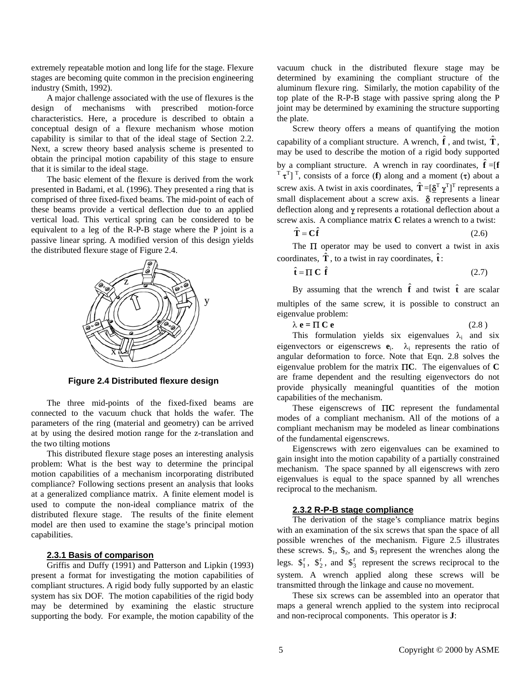extremely repeatable motion and long life for the stage. Flexure stages are becoming quite common in the precision engineering industry (Smith, 1992).

A major challenge associated with the use of flexures is the design of mechanisms with prescribed motion-force characteristics. Here, a procedure is described to obtain a conceptual design of a flexure mechanism whose motion capability is similar to that of the ideal stage of Section 2.2. Next, a screw theory based analysis scheme is presented to obtain the principal motion capability of this stage to ensure that it is similar to the ideal stage.

The basic element of the flexure is derived from the work presented in Badami, et al. (1996). They presented a ring that is comprised of three fixed-fixed beams. The mid-point of each of these beams provide a vertical deflection due to an applied vertical load. This vertical spring can be considered to be equivalent to a leg of the R-P-B stage where the P joint is a passive linear spring. A modified version of this design yields the distributed flexure stage of Figure 2.4.



**Figure 2.4 Distributed flexure design** 

The three mid-points of the fixed-fixed beams are connected to the vacuum chuck that holds the wafer. The parameters of the ring (material and geometry) can be arrived at by using the desired motion range for the z-translation and the two tilting motions

This distributed flexure stage poses an interesting analysis problem: What is the best way to determine the principal motion capabilities of a mechanism incorporating distributed compliance? Following sections present an analysis that looks at a generalized compliance matrix. A finite element model is used to compute the non-ideal compliance matrix of the distributed flexure stage. The results of the finite element model are then used to examine the stage's principal motion capabilities.

#### **2.3.1 Basis of comparison**

Griffis and Duffy (1991) and Patterson and Lipkin (1993) present a format for investigating the motion capabilities of compliant structures. A rigid body fully supported by an elastic system has six DOF. The motion capabilities of the rigid body may be determined by examining the elastic structure supporting the body. For example, the motion capability of the vacuum chuck in the distributed flexure stage may be determined by examining the compliant structure of the aluminum flexure ring. Similarly, the motion capability of the top plate of the R-P-B stage with passive spring along the P joint may be determined by examining the structure supporting the plate.

Screw theory offers a means of quantifying the motion capability of a compliant structure. A wrench,  $\hat{\mathbf{f}}$ , and twist,  $\hat{\mathbf{T}}$ , may be used to describe the motion of a rigid body supported by a compliant structure. A wrench in ray coordinates,  $\hat{\mathbf{f}} = [\mathbf{f}]$  $T \tau^{T}$ ]<sup>T</sup>, consists of a force (**f**) along and a moment ( $\tau$ ) about a screw axis. A twist in axis coordinates,  $\hat{\mathbf{T}} = [\underline{\delta}^T \, \underline{\gamma}^T]^T$  represents a small displacement about a screw axis.  $\delta$  represents a linear deflection along and γ represents a rotational deflection about a screw axis. A compliance matrix **C** relates a wrench to a twist:

$$
\hat{\mathbf{T}} = \mathbf{C}\hat{\mathbf{f}} \tag{2.6}
$$

The  $\Pi$  operator may be used to convert a twist in axis coordinates,  $\hat{\mathbf{T}}$ , to a twist in ray coordinates,  $\hat{\mathbf{t}}$ :

$$
\hat{\mathbf{t}} = \boldsymbol{\Pi} \, \mathbf{C} \, \hat{\mathbf{f}} \tag{2.7}
$$

By assuming that the wrench  $\hat{\mathbf{f}}$  and twist  $\hat{\mathbf{t}}$  are scalar multiples of the same screw, it is possible to construct an eigenvalue problem:

| $\lambda$ e = $\Pi$ C e<br>(2.8) |  |
|----------------------------------|--|
|----------------------------------|--|

This formulation yields six eigenvalues  $\lambda_i$  and six eigenvectors or eigenscrews **e**i. λi represents the ratio of angular deformation to force. Note that Eqn. 2.8 solves the eigenvalue problem for the matrix Π**C**. The eigenvalues of **C** are frame dependent and the resulting eigenvectors do not provide physically meaningful quantities of the motion capabilities of the mechanism.

These eigenscrews of Π**C** represent the fundamental modes of a compliant mechanism. All of the motions of a compliant mechanism may be modeled as linear combinations of the fundamental eigenscrews.

Eigenscrews with zero eigenvalues can be examined to gain insight into the motion capability of a partially constrained mechanism. The space spanned by all eigenscrews with zero eigenvalues is equal to the space spanned by all wrenches reciprocal to the mechanism.

#### **2.3.2 R-P-B stage compliance**

The derivation of the stage's compliance matrix begins with an examination of the six screws that span the space of all possible wrenches of the mechanism. Figure 2.5 illustrates these screws.  $\mathcal{S}_1$ ,  $\mathcal{S}_2$ , and  $\mathcal{S}_3$  represent the wrenches along the legs.  $\mathcal{S}_1^r$ ,  $\mathcal{S}_2^r$ , and  $\mathcal{S}_3^r$  represent the screws reciprocal to the system. A wrench applied along these screws will be transmitted through the linkage and cause no movement.

These six screws can be assembled into an operator that maps a general wrench applied to the system into reciprocal and non-reciprocal components. This operator is **J**: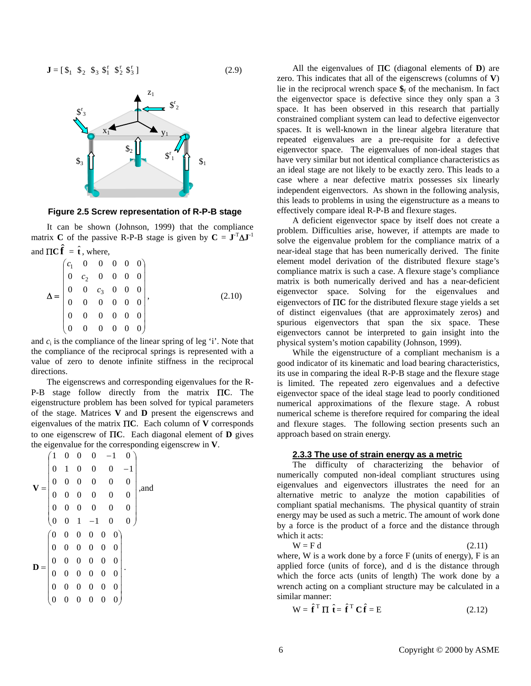$J = [\oint_1 \oint_2 \oint_3 \oint_4 \oint_1^r \oint_2^r \oint_3^r ]$  (2.9)



**Figure 2.5 Screw representation of R-P-B stage** 

It can be shown (Johnson, 1999) that the compliance matrix **C** of the passive R-P-B stage is given by  $C = J<sup>T</sup>ΔJ<sup>-1</sup>$ and  $\Pi \mathbf{C} \hat{\mathbf{f}} = \hat{\mathbf{t}}$ , where,

| $\label{eq:Delta} \Delta = \begin{pmatrix} c_1 & 0 & 0 & 0 & 0 & 0 \\ 0 & c_2 & 0 & 0 & 0 & 0 \\ 0 & 0 & c_3 & 0 & 0 & 0 \\ 0 & 0 & 0 & 0 & 0 & 0 \\ 0 & 0 & 0 & 0 & 0 & 0 \\ 0 & 0 & 0 & 0 & 0 & 0 \\ 0 & 0 & 0 & 0 & 0 & 0 \end{pmatrix},$ |  |  |  |        |
|----------------------------------------------------------------------------------------------------------------------------------------------------------------------------------------------------------------------------------------------|--|--|--|--------|
|                                                                                                                                                                                                                                              |  |  |  |        |
|                                                                                                                                                                                                                                              |  |  |  | (2.10) |
|                                                                                                                                                                                                                                              |  |  |  |        |
|                                                                                                                                                                                                                                              |  |  |  |        |

and  $c_i$  is the compliance of the linear spring of leg 'i'. Note that the compliance of the reciprocal springs is represented with a value of zero to denote infinite stiffness in the reciprocal directions.

The eigenscrews and corresponding eigenvalues for the R-P-B stage follow directly from the matrix Π**C**. The eigenstructure problem has been solved for typical parameters of the stage. Matrices **V** and **D** present the eigenscrews and eigenvalues of the matrix Π**C**. Each column of **V** corresponds to one eigenscrew of Π**C**. Each diagonal element of **D** gives the eigenvalue for the corresponding eigenscrew in **V**.

$$
\mathbf{V} = \begin{pmatrix}\n1 & 0 & 0 & 0 & -1 & 0 \\
0 & 1 & 0 & 0 & 0 & -1 \\
0 & 0 & 0 & 0 & 0 & 0 \\
0 & 0 & 0 & 0 & 0 & 0 \\
0 & 0 & 0 & 0 & 0 & 0 \\
0 & 0 & 1 & -1 & 0 & 0\n\end{pmatrix}, \text{and}
$$
\n
$$
\mathbf{D} = \begin{pmatrix}\n0 & 0 & 0 & 0 & 0 & 0 \\
0 & 0 & 0 & 0 & 0 & 0 \\
0 & 0 & 0 & 0 & 0 & 0 \\
0 & 0 & 0 & 0 & 0 & 0 \\
0 & 0 & 0 & 0 & 0 & 0 \\
0 & 0 & 0 & 0 & 0 & 0\n\end{pmatrix}.
$$

All the eigenvalues of Π**C** (diagonal elements of **D**) are zero. This indicates that all of the eigenscrews (columns of **V**) lie in the reciprocal wrench space  $\hat{\mathbf{s}}_f$  of the mechanism. In fact the eigenvector space is defective since they only span a 3 space. It has been observed in this research that partially constrained compliant system can lead to defective eigenvector spaces. It is well-known in the linear algebra literature that repeated eigenvalues are a pre-requisite for a defective eigenvector space. The eigenvalues of non-ideal stages that have very similar but not identical compliance characteristics as an ideal stage are not likely to be exactly zero. This leads to a case where a near defective matrix possesses six linearly independent eigenvectors. As shown in the following analysis, this leads to problems in using the eigenstructure as a means to effectively compare ideal R-P-B and flexure stages.

A deficient eigenvector space by itself does not create a problem. Difficulties arise, however, if attempts are made to solve the eigenvalue problem for the compliance matrix of a near-ideal stage that has been numerically derived. The finite element model derivation of the distributed flexure stage's compliance matrix is such a case. A flexure stage's compliance matrix is both numerically derived and has a near-deficient eigenvector space. Solving for the eigenvalues and eigenvectors of Π**C** for the distributed flexure stage yields a set of distinct eigenvalues (that are approximately zeros) and spurious eigenvectors that span the six space. These eigenvectors cannot be interpreted to gain insight into the physical system's motion capability (Johnson, 1999).

While the eigenstructure of a compliant mechanism is a good indicator of its kinematic and load bearing characteristics, its use in comparing the ideal R-P-B stage and the flexure stage is limited. The repeated zero eigenvalues and a defective eigenvector space of the ideal stage lead to poorly conditioned numerical approximations of the flexure stage. A robust numerical scheme is therefore required for comparing the ideal and flexure stages. The following section presents such an approach based on strain energy.

## **2.3.3 The use of strain energy as a metric**

The difficulty of characterizing the behavior of numerically computed non-ideal compliant structures using eigenvalues and eigenvectors illustrates the need for an alternative metric to analyze the motion capabilities of compliant spatial mechanisms. The physical quantity of strain energy may be used as such a metric. The amount of work done by a force is the product of a force and the distance through which it acts:

$$
W = F d \tag{2.11}
$$

where,  $W$  is a work done by a force  $F$  (units of energy),  $F$  is an applied force (units of force), and d is the distance through which the force acts (units of length) The work done by a wrench acting on a compliant structure may be calculated in a similar manner:

$$
W = \hat{\mathbf{f}}^T \Pi \hat{\mathbf{t}} = \hat{\mathbf{f}}^T C \hat{\mathbf{f}} = E
$$
 (2.12)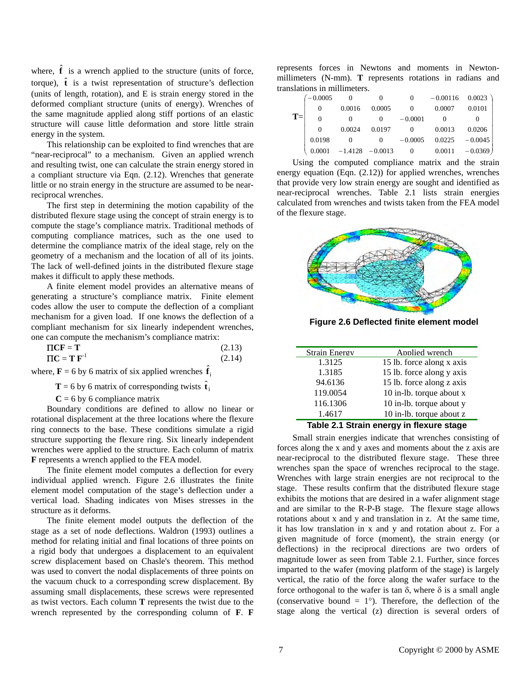where,  $\hat{\mathbf{f}}$  is a wrench applied to the structure (units of force, torque),  $\hat{\mathbf{t}}$  is a twist representation of structure's deflection (units of length, rotation), and E is strain energy stored in the deformed compliant structure (units of energy). Wrenches of the same magnitude applied along stiff portions of an elastic structure will cause little deformation and store little strain energy in the system.

This relationship can be exploited to find wrenches that are "near-reciprocal" to a mechanism. Given an applied wrench and resulting twist, one can calculate the strain energy stored in a compliant structure via Eqn. (2.12). Wrenches that generate little or no strain energy in the structure are assumed to be nearreciprocal wrenches.

The first step in determining the motion capability of the distributed flexure stage using the concept of strain energy is to compute the stage's compliance matrix. Traditional methods of computing compliance matrices, such as the one used to determine the compliance matrix of the ideal stage, rely on the geometry of a mechanism and the location of all of its joints. The lack of well-defined joints in the distributed flexure stage makes it difficult to apply these methods.

A finite element model provides an alternative means of generating a structure's compliance matrix. Finite element codes allow the user to compute the deflection of a compliant mechanism for a given load. If one knows the deflection of a compliant mechanism for six linearly independent wrenches, one can compute the mechanism's compliance matrix:

| $\boldsymbol{\Pi} \mathbf{C} \boldsymbol{\Gamma} = \boldsymbol{\Gamma}$ | (2.13) |
|-------------------------------------------------------------------------|--------|
| $TC = T F^{-1}$                                                         | (2.14) |

where,  $\mathbf{F} = 6$  by 6 matrix of six applied wrenches  $\hat{\mathbf{f}}_i$ 

**T** = 6 by 6 matrix of corresponding twists  $\hat{\mathbf{t}}_i$ 

 $C = 6$  by 6 compliance matrix

Boundary conditions are defined to allow no linear or rotational displacement at the three locations where the flexure ring connects to the base. These conditions simulate a rigid structure supporting the flexure ring. Six linearly independent wrenches were applied to the structure. Each column of matrix **F** represents a wrench applied to the FEA model.

The finite element model computes a deflection for every individual applied wrench. Figure 2.6 illustrates the finite element model computation of the stage's deflection under a vertical load. Shading indicates von Mises stresses in the structure as it deforms.

The finite element model outputs the deflection of the stage as a set of node deflections. Waldron (1993) outlines a method for relating initial and final locations of three points on a rigid body that undergoes a displacement to an equivalent screw displacement based on Chasle's theorem. This method was used to convert the nodal displacements of three points on the vacuum chuck to a corresponding screw displacement. By assuming small displacements, these screws were represented as twist vectors. Each column **T** represents the twist due to the wrench represented by the corresponding column of **F**. **F**

represents forces in Newtons and moments in Newtonmillimeters (N-mm). **T** represents rotations in radians and translations in millimeters.

|       | $-0.0005$ | $\Omega$ | $\theta$           | $\Omega$  | $-0.00116$ 0.0023 |           |
|-------|-----------|----------|--------------------|-----------|-------------------|-----------|
|       | $\Omega$  | 0.0016   | 0.0005             | $\Omega$  | 0.0007            | 0.0101    |
| $T =$ | $\theta$  | $\Omega$ | $\Omega$           | $-0.0001$ |                   |           |
|       | $\Omega$  | 0.0024   | 0.0197             | $\Omega$  | 0.0013            | 0.0206    |
|       | 0.0198    |          | $\Omega$           | $-0.0005$ | 0.0225            | $-0.0045$ |
|       | 0.0001    |          | $-1.4128 - 0.0013$ | $\theta$  | 0.0011            | $-0.0369$ |

Using the computed compliance matrix and the strain energy equation (Eqn. (2.12)) for applied wrenches, wrenches that provide very low strain energy are sought and identified as near-reciprocal wrenches. Table 2.1 lists strain energies calculated from wrenches and twists taken from the FEA model of the flexure stage.



**Figure 2.6 Deflected finite element model** 

| <b>Strain Energy</b> | Applied wrench            |
|----------------------|---------------------------|
| 1.3125               | 15 lb. force along x axis |
| 1.3185               | 15 lb. force along y axis |
| 94.6136              | 15 lb. force along z axis |
| 119.0054             | 10 in-lb. torque about x  |
| 116.1306             | 10 in-lb. torque about y  |
| 1.4617               | 10 in-lb. torque about z  |

#### **Table 2.1 Strain energy in flexure stage**

Small strain energies indicate that wrenches consisting of forces along the x and y axes and moments about the z axis are near-reciprocal to the distributed flexure stage. These three wrenches span the space of wrenches reciprocal to the stage. Wrenches with large strain energies are not reciprocal to the stage. These results confirm that the distributed flexure stage exhibits the motions that are desired in a wafer alignment stage and are similar to the R-P-B stage. The flexure stage allows rotations about x and y and translation in z. At the same time, it has low translation in x and y and rotation about z. For a given magnitude of force (moment), the strain energy (or deflections) in the reciprocal directions are two orders of magnitude lower as seen from Table 2.1. Further, since forces imparted to the wafer (moving platform of the stage) is largely vertical, the ratio of the force along the wafer surface to the force orthogonal to the wafer is tan  $\delta$ , where  $\delta$  is a small angle (conservative bound  $= 1^{\circ}$ ). Therefore, the deflection of the stage along the vertical (z) direction is several orders of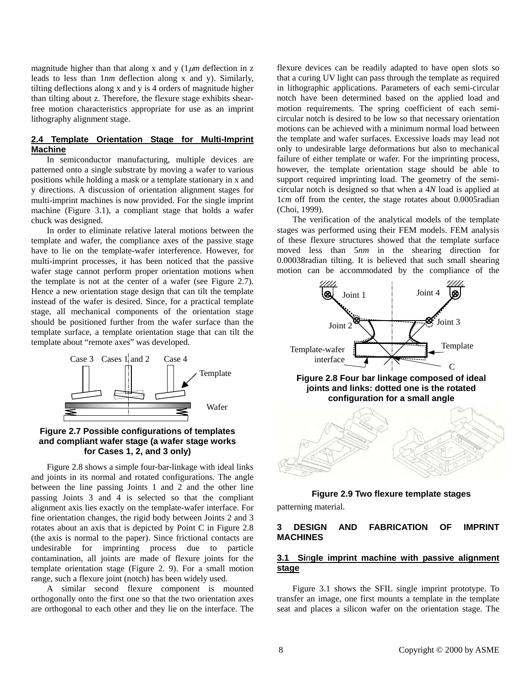magnitude higher than that along x and y  $(1 \mu m)$  deflection in z leads to less than 1*nm* deflection along x and y). Similarly, tilting deflections along x and y is 4 orders of magnitude higher than tilting about z. Therefore, the flexure stage exhibits shearfree motion characteristics appropriate for use as an imprint lithography alignment stage.

## **2.4 Template Orientation Stage for Multi-Imprint Machine**

In semiconductor manufacturing, multiple devices are patterned onto a single substrate by moving a wafer to various positions while holding a mask or a template stationary in x and y directions. A discussion of orientation alignment stages for multi-imprint machines is now provided. For the single imprint machine (Figure 3.1), a compliant stage that holds a wafer chuck was designed.

In order to eliminate relative lateral motions between the template and wafer, the compliance axes of the passive stage have to lie on the template-wafer interference. However, for multi-imprint processes, it has been noticed that the passive wafer stage cannot perform proper orientation motions when the template is not at the center of a wafer (see Figure 2.7). Hence a new orientation stage design that can tilt the template instead of the wafer is desired. Since, for a practical template stage, all mechanical components of the orientation stage should be positioned further from the wafer surface than the template surface, a template orientation stage that can tilt the template about "remote axes" was developed.



## **Figure 2.7 Possible configurations of templates and compliant wafer stage (a wafer stage works for Cases 1, 2, and 3 only)**

Figure 2.8 shows a simple four-bar-linkage with ideal links and joints in its normal and rotated configurations. The angle between the line passing Joints 1 and 2 and the other line passing Joints 3 and 4 is selected so that the compliant alignment axis lies exactly on the template-wafer interface. For fine orientation changes, the rigid body between Joints 2 and 3 rotates about an axis that is depicted by Point C in Figure 2.8 (the axis is normal to the paper). Since frictional contacts are undesirable for imprinting process due to particle contamination, all joints are made of flexure joints for the template orientation stage (Figure 2. 9). For a small motion range, such a flexure joint (notch) has been widely used.

A similar second flexure component is mounted orthogonally onto the first one so that the two orientation axes are orthogonal to each other and they lie on the interface. The

flexure devices can be readily adapted to have open slots so that a curing UV light can pass through the template as required in lithographic applications. Parameters of each semi-circular notch have been determined based on the applied load and motion requirements. The spring coefficient of each semicircular notch is desired to be low so that necessary orientation motions can be achieved with a minimum normal load between the template and wafer surfaces. Excessive loads may lead not only to undesirable large deformations but also to mechanical failure of either template or wafer. For the imprinting process, however, the template orientation stage should be able to support required imprinting load. The geometry of the semicircular notch is designed so that when a 4*N* load is applied at 1*cm* off from the center, the stage rotates about 0.0005radian (Choi, 1999).

The verification of the analytical models of the template stages was performed using their FEM models. FEM analysis of these flexure structures showed that the template surface moved less than 5*nm* in the shearing direction for 0.00038radian tilting. It is believed that such small shearing motion can be accommodated by the compliance of the



#### **Figure 2.9 Two flexure template stages**

patterning material.

## **3 DESIGN AND FABRICATION OF IMPRINT MACHINES**

## **3.1 Si**n**gle imprint machine with passive alignment stage**

Figure 3.1 shows the SFIL single imprint prototype. To transfer an image, one first mounts a template in the template seat and places a silicon wafer on the orientation stage. The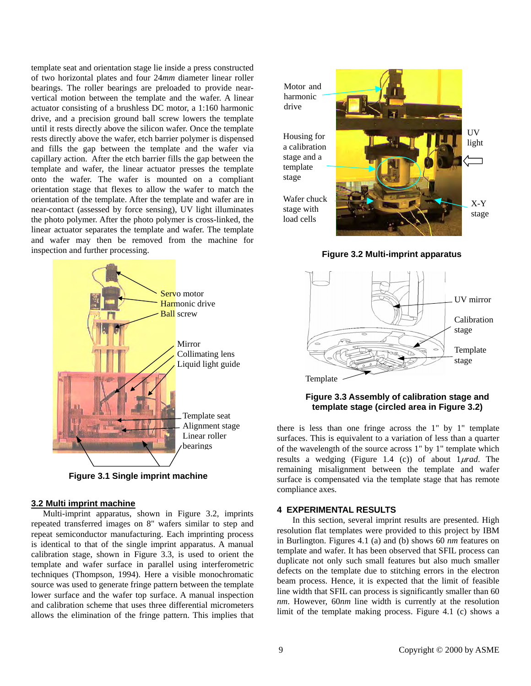template seat and orientation stage lie inside a press constructed of two horizontal plates and four 24*mm* diameter linear roller bearings. The roller bearings are preloaded to provide nearvertical motion between the template and the wafer. A linear actuator consisting of a brushless DC motor, a 1:160 harmonic drive, and a precision ground ball screw lowers the template until it rests directly above the silicon wafer. Once the template rests directly above the wafer, etch barrier polymer is dispensed and fills the gap between the template and the wafer via capillary action. After the etch barrier fills the gap between the template and wafer, the linear actuator presses the template onto the wafer. The wafer is mounted on a compliant orientation stage that flexes to allow the wafer to match the orientation of the template. After the template and wafer are in near-contact (assessed by force sensing), UV light illuminates the photo polymer. After the photo polymer is cross-linked, the linear actuator separates the template and wafer. The template and wafer may then be removed from the machine for inspection and further processing.



**Figure 3.1 Single imprint machine** 

## **3.2 Multi imprint machine**

Multi-imprint apparatus, shown in Figure 3.2, imprints repeated transferred images on 8" wafers similar to step and repeat semiconductor manufacturing. Each imprinting process is identical to that of the single imprint apparatus. A manual calibration stage, shown in Figure 3.3, is used to orient the template and wafer surface in parallel using interferometric techniques (Thompson, 1994). Here a visible monochromatic source was used to generate fringe pattern between the template lower surface and the wafer top surface. A manual inspection and calibration scheme that uses three differential micrometers allows the elimination of the fringe pattern. This implies that Motor and harmonic drive

Housing for a calibration stage and a template stage

Wafer chuck stage with load cells



**Figure 3.2 Multi-imprint apparatus** 



**Figure 3.3 Assembly of calibration stage and template stage (circled area in Figure 3.2)** 

there is less than one fringe across the 1" by 1" template surfaces. This is equivalent to a variation of less than a quarter of the wavelength of the source across 1" by 1" template which results a wedging (Figure 1.4 (c)) of about 1µ*rad*. The remaining misalignment between the template and wafer surface is compensated via the template stage that has remote compliance axes.

## **4 EXPERIMENTAL RESULTS**

In this section, several imprint results are presented. High resolution flat templates were provided to this project by IBM in Burlington. Figures 4.1 (a) and (b) shows 60 *nm* features on template and wafer. It has been observed that SFIL process can duplicate not only such small features but also much smaller defects on the template due to stitching errors in the electron beam process. Hence, it is expected that the limit of feasible line width that SFIL can process is significantly smaller than 60 *nm*. However, 60*nm* line width is currently at the resolution limit of the template making process. Figure 4.1 (c) shows a